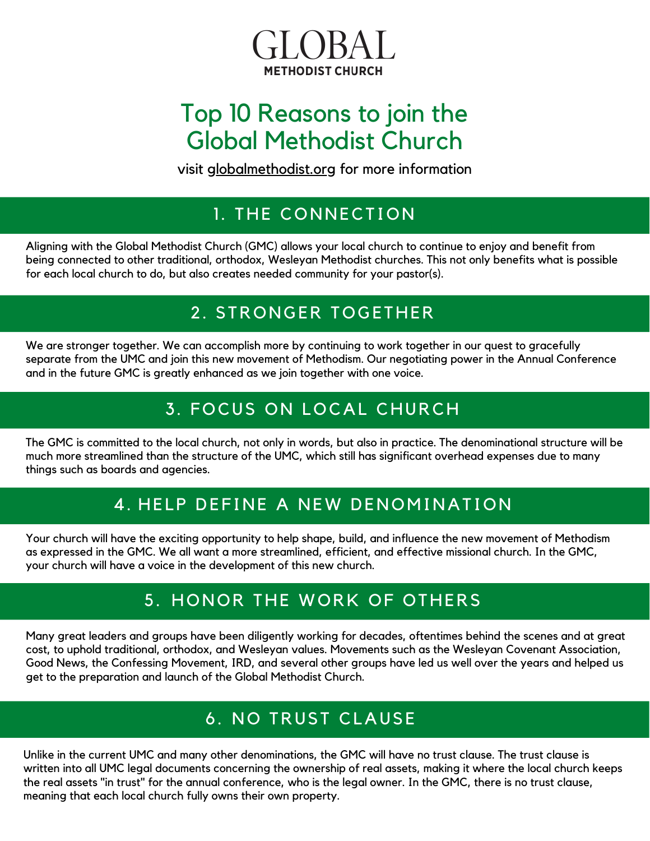

# Top 10 Reasons to join the Global Methodist Church

visit globalmethodist.org for more information

## 1. THE CONNECTION

Aligning with the Global Methodist Church (GMC) allows your local church to continue to enjoy and benefit from being connected to other traditional, orthodox, Wesleyan Methodist churches. This not only benefits what is possible for each local church to do, but also creates needed community for your pastor(s).

## 2. STRONGER TOGETHER

We are stronger together. We can accomplish more by continuing to work together in our quest to gracefully separate from the UMC and join this new movement of Methodism. Our negotiating power in the Annual Conference and in the future GMC is greatly enhanced as we join together with one voice.

# 3. FOCUS ON LOCAL CHURCH

The GMC is committed to the local church, not only in words, but also in practice. The denominational structure will be much more streamlined than the structure of the UMC, which still has significant overhead expenses due to many things such as boards and agencies.

## 4. HELP DEFINE A NEW DENOMINATION

Your church will have the exciting opportunity to help shape, build, and influence the new movement of Methodism as expressed in the GMC. We all want a more streamlined, efficient, and effective missional church. In the GMC, your church will have a voice in the development of this new church.

## 5. HONOR THE WORK OF OTHERS

Many great leaders and groups have been diligently working for decades, oftentimes behind the scenes and at great cost, to uphold traditional, orthodox, and Wesleyan values. Movements such as the Wesleyan Covenant Association, Good News, the Confessing Movement, IRD, and several other groups have led us well over the years and helped us get to the preparation and launch of the Global Methodist Church.

## 6. NO TRUST CLAUSE

Unlike in the current UMC and many other denominations, the GMC will have no trust clause. The trust clause is written into all UMC legal documents concerning the ownership of real assets, making it where the local church keeps the real assets "in trust" for the annual conference, who is the legal owner. In the GMC, there is no trust clause, meaning that each local church fully owns their own property.